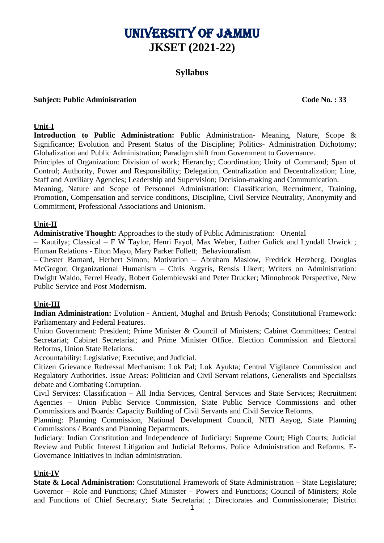# University of Jammu **JKSET (2021-22)**

# **Syllabus**

#### **Subject: Public Administration Code No. : 33**

#### **Unit-I**

**Introduction to Public Administration:** Public Administration- Meaning, Nature, Scope & Significance; Evolution and Present Status of the Discipline; Politics- Administration Dichotomy; Globalization and Public Administration; Paradigm shift from Government to Governance.

Principles of Organization: Division of work; Hierarchy; Coordination; Unity of Command; Span of Control; Authority, Power and Responsibility; Delegation, Centralization and Decentralization; Line, Staff and Auxiliary Agencies; Leadership and Supervision; Decision-making and Communication.

Meaning, Nature and Scope of Personnel Administration: Classification, Recruitment, Training, Promotion, Compensation and service conditions, Discipline, Civil Service Neutrality, Anonymity and Commitment, Professional Associations and Unionism.

#### **Unit-II**

**Administrative Thought:** Approaches to the study of Public Administration: Oriental

– Kautilya; Classical – F W Taylor, Henri Fayol, Max Weber, Luther Gulick and Lyndall Urwick ; Human Relations - Elton Mayo, Mary Parker Follett; Behaviouralism

– Chester Barnard, Herbert Simon; Motivation – Abraham Maslow, Fredrick Herzberg, Douglas McGregor; Organizational Humanism – Chris Argyris, Rensis Likert; Writers on Administration: Dwight Waldo, Ferrel Heady, Robert Golembiewski and Peter Drucker; Minnobrook Perspective, New Public Service and Post Modernism.

#### **Unit-III**

**Indian Administration:** Evolution - Ancient, Mughal and British Periods; Constitutional Framework: Parliamentary and Federal Features.

Union Government: President; Prime Minister & Council of Ministers; Cabinet Committees; Central Secretariat; Cabinet Secretariat; and Prime Minister Office. Election Commission and Electoral Reforms, Union State Relations.

Accountability: Legislative; Executive; and Judicial.

Citizen Grievance Redressal Mechanism: Lok Pal; Lok Ayukta; Central Vigilance Commission and Regulatory Authorities. Issue Areas: Politician and Civil Servant relations, Generalists and Specialists debate and Combating Corruption.

Civil Services: Classification – All India Services, Central Services and State Services; Recruitment Agencies – Union Public Service Commission, State Public Service Commissions and other Commissions and Boards: Capacity Building of Civil Servants and Civil Service Reforms.

Planning: Planning Commission, National Development Council, NITI Aayog, State Planning Commissions / Boards and Planning Departments.

Judiciary: Indian Constitution and Independence of Judiciary: Supreme Court; High Courts; Judicial Review and Public Interest Litigation and Judicial Reforms. Police Administration and Reforms. E-Governance Initiatives in Indian administration.

# **Unit-IV**

**State & Local Administration:** Constitutional Framework of State Administration – State Legislature; Governor – Role and Functions; Chief Minister – Powers and Functions; Council of Ministers; Role and Functions of Chief Secretary; State Secretariat ; Directorates and Commissionerate; District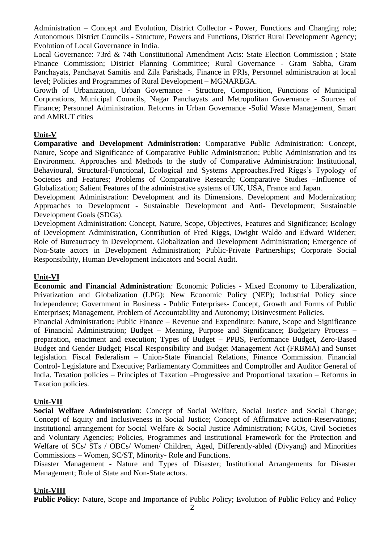Administration – Concept and Evolution, District Collector - Power, Functions and Changing role; Autonomous District Councils - Structure, Powers and Functions, District Rural Development Agency; Evolution of Local Governance in India.

Local Governance: 73rd & 74th Constitutional Amendment Acts: State Election Commission ; State Finance Commission; District Planning Committee; Rural Governance - Gram Sabha, Gram Panchayats, Panchayat Samitis and Zila Parishads, Finance in PRIs, Personnel administration at local level; Policies and Programmes of Rural Development – MGNAREGA.

Growth of Urbanization, Urban Governance - Structure, Composition, Functions of Municipal Corporations, Municipal Councils, Nagar Panchayats and Metropolitan Governance - Sources of Finance; Personnel Administration. Reforms in Urban Governance -Solid Waste Management, Smart and AMRUT cities

#### **Unit-V**

**Comparative and Development Administration**: Comparative Public Administration: Concept, Nature, Scope and Significance of Comparative Public Administration; Public Administration and its Environment. Approaches and Methods to the study of Comparative Administration: Institutional, Behavioural, Structural-Functional, Ecological and Systems Approaches.Fred Riggs's Typology of Societies and Features; Problems of Comparative Research; Comparative Studies –Influence of Globalization; Salient Features of the administrative systems of UK, USA, France and Japan.

Development Administration: Development and its Dimensions. Development and Modernization; Approaches to Development - Sustainable Development and Anti- Development; Sustainable Development Goals (SDGs).

Development Administration: Concept, Nature, Scope, Objectives, Features and Significance; Ecology of Development Administration, Contribution of Fred Riggs, Dwight Waldo and Edward Widener; Role of Bureaucracy in Development. Globalization and Development Administration; Emergence of Non-State actors in Development Administration; Public-Private Partnerships; Corporate Social Responsibility, Human Development Indicators and Social Audit.

#### **Unit-VI**

**Economic and Financial Administration**: Economic Policies - Mixed Economy to Liberalization, Privatization and Globalization (LPG); New Economic Policy (NEP); Industrial Policy since Independence; Government in Business - Public Enterprises- Concept, Growth and Forms of Public Enterprises; Management, Problem of Accountability and Autonomy; Disinvestment Policies.

Financial Administration**:** Public Finance – Revenue and Expenditure: Nature, Scope and Significance of Financial Administration; Budget – Meaning, Purpose and Significance; Budgetary Process – preparation, enactment and execution; Types of Budget – PPBS, Performance Budget, Zero-Based Budget and Gender Budget; Fiscal Responsibility and Budget Management Act (FRBMA) and Sunset legislation. Fiscal Federalism – Union-State Financial Relations, Finance Commission. Financial Control- Legislature and Executive; Parliamentary Committees and Comptroller and Auditor General of India. Taxation policies – Principles of Taxation –Progressive and Proportional taxation – Reforms in Taxation policies.

# **Unit-VII**

**Social Welfare Administration**: Concept of Social Welfare, Social Justice and Social Change; Concept of Equity and Inclusiveness in Social Justice; Concept of Affirmative action-Reservations; Institutional arrangement for Social Welfare & Social Justice Administration; NGOs, Civil Societies and Voluntary Agencies; Policies, Programmes and Institutional Framework for the Protection and Welfare of SCs/ STs / OBCs/ Women/ Children, Aged, Differently-abled (Divyang) and Minorities Commissions – Women, SC/ST, Minority- Role and Functions.

Disaster Management **-** Nature and Types of Disaster; Institutional Arrangements for Disaster Management; Role of State and Non-State actors.

#### **Unit-VIII**

**Public Policy:** Nature, Scope and Importance of Public Policy; Evolution of Public Policy and Policy